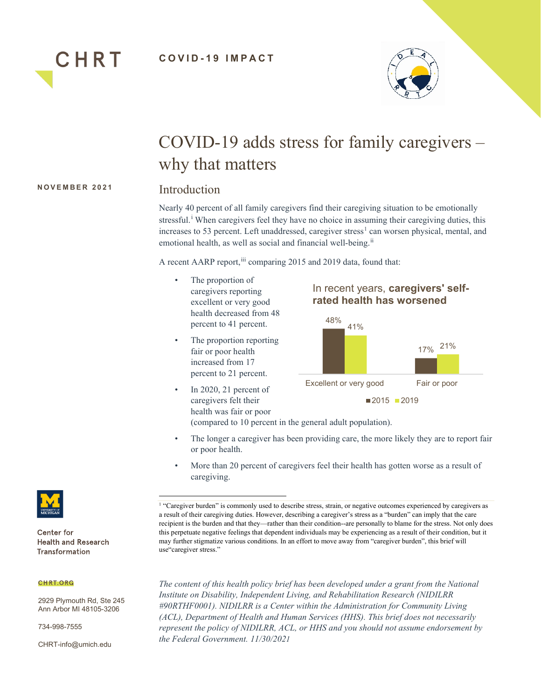



# COVID-19 adds stress for family caregivers – why that matters

### **NOVEMBER 2021**

## Introduction

Nearly 40 percent of all family caregivers find their caregiving situation to be emotionally stressful.<sup>[i](#page-5-0)</sup> When caregivers feel they have no choice in assuming their caregiving duties, this increases to 53 percent. Left unaddressed, caregiver stress<sup>[1](#page-0-0)</sup> can worsen physical, mental, and emotional health, as well as social and financial well-being.<sup>[ii](#page-5-1)</sup>

A recent AARP report,<sup>[iii](#page-5-2)</sup> comparing 2015 and 2019 data, found that:

- The proportion of caregivers reporting excellent or very good health decreased from 48 percent to 41 percent.
- The proportion reporting fair or poor health increased from 17 percent to 21 percent.
- In 2020, 21 percent of caregivers felt their health was fair or poor



(compared to 10 percent in the general adult population).

- The longer a caregiver has been providing care, the more likely they are to report fair or poor health.
- More than 20 percent of caregivers feel their health has gotten worse as a result of caregiving.

<sup>1</sup> "Caregiver burden" is commonly used to describe stress, strain, or negative outcomes experienced by caregivers as a result of their caregiving duties. However, describing a caregiver's stress as a "burden" can imply that the care recipient is the burden and that they—rather than their condition--are personally to blame for the stress. Not only does this perpetuate negative feelings that dependent individuals may be experiencing as a result of their condition, but it may further stigmatize various conditions. In an effort to move away from "caregiver burden", this brief will use"caregiver stress."

*The content of this health policy brief has been developed under a grant from the National Institute on Disability, Independent Living, and Rehabilitation Research (NIDILRR #90RTHF0001). NIDILRR is a Center within the Administration for Community Living (ACL), Department of Health and Human Services (HHS). This brief does not necessarily represent the policy of NIDILRR, ACL, or HHS and you should not assume endorsement by the Federal Government. 11/30/2021*



<span id="page-0-0"></span>Center for **Health and Research** Transformation

#### **CHRT.ORG**

2929 Plymouth Rd, Ste 245 Ann Arbor MI 48105-3206

734-998-7555

CHRT-info@umich.edu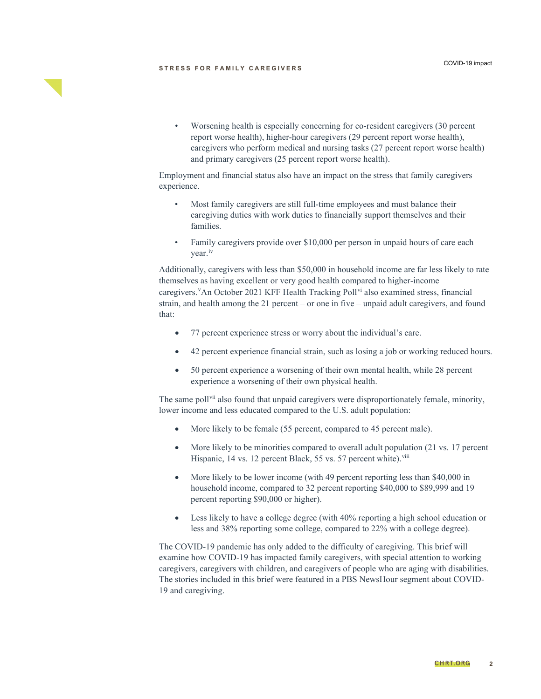#### **STRESS FOR FAMILY CAREGIVERS**

• Worsening health is especially concerning for co-resident caregivers (30 percent report worse health), higher-hour caregivers (29 percent report worse health), caregivers who perform medical and nursing tasks (27 percent report worse health) and primary caregivers (25 percent report worse health).

Employment and financial status also have an impact on the stress that family caregivers experience.

- Most family caregivers are still full-time employees and must balance their caregiving duties with work duties to financially support themselves and their families.
- Family caregivers provide over \$10,000 per person in unpaid hours of care each year.<sup>[iv](#page-5-3)</sup>

Additionally, caregivers with less than \$50,000 in household income are far less likely to rate themselves as having excellent or very good health compared to higher-income caregi[v](#page-5-4)ers. <sup>V</sup>An October 2021 KFF Health Tracking Poll<sup>[vi](#page-5-5)</sup> also examined stress, financial strain, and health among the 21 percent – or one in five – unpaid adult caregivers, and found that:

- 77 percent experience stress or worry about the individual's care.
- 42 percent experience financial strain, such as losing a job or working reduced hours.
- 50 percent experience a worsening of their own mental health, while 28 percent experience a worsening of their own physical health.

The same poll<sup>[vii](#page-5-6)</sup> also found that unpaid caregivers were disproportionately female, minority, lower income and less educated compared to the U.S. adult population:

- More likely to be female (55 percent, compared to 45 percent male).
- More likely to be minorities compared to overall adult population (21 vs. 17 percent Hispanic, 14 vs. 12 percent Black, 55 vs. 57 percent white).<sup>[viii](#page-5-7)</sup>
- More likely to be lower income (with 49 percent reporting less than \$40,000 in household income, compared to 32 percent reporting \$40,000 to \$89,999 and 19 percent reporting \$90,000 or higher).
- Less likely to have a college degree (with 40% reporting a high school education or less and 38% reporting some college, compared to 22% with a college degree).

The COVID-19 pandemic has only added to the difficulty of caregiving. This brief will examine how COVID-19 has impacted family caregivers, with special attention to working caregivers, caregivers with children, and caregivers of people who are aging with disabilities. The stories included in this brief were featured in a PBS NewsHour segment about COVID-19 and caregiving.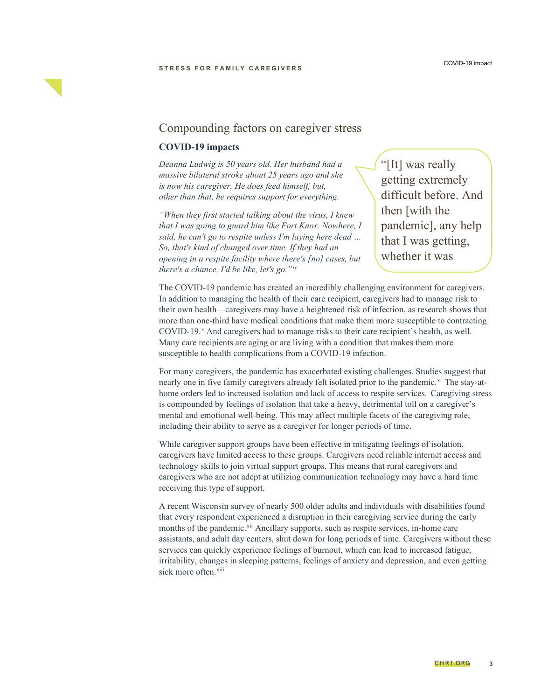

## Compounding factors on caregiver stress

## **COVID-19 impacts**

*Deanna Ludwig is 50 years old. Her husband had a massive bilateral stroke about 25 years ago and she is now his caregiver. He does feed himself, but, other than that, he requires support for everything.* 

*"When they first started talking about the virus, I knew that I was going to guard him like Fort Knox. Nowhere, I said, he can't go to respite unless I'm laying here dead … So, that's kind of changed over time. If they had an opening in a respite facility where there's [no] cases, but there's a chance, I'd be like, let's go."[ix](#page-5-8)*

"[It] was really getting extremely difficult before. And then [with the pandemic], any help that I was getting, whether it was

 $\overline{a}$ 

The COVID-19 pandemic has created an incredibly challenging environment for caregivers. In addition to managing the health of their care recipient, caregivers had to manage risk to their own health—caregivers may have a heightened risk of infection, as research shows that more than one-third have medical conditions that make them more susceptible to contracting COVID-19.<sup>[x](#page-5-9)</sup> And caregivers had to manage risks to their care recipient's health, as well. Many care recipients are aging or are living with a condition that makes them more susceptible to health complications from a COVID-19 infection.

For many caregivers, the pandemic has exacerbated existing challenges. Studies suggest that nearly one in five family caregivers already felt isolated prior to the pandemic.<sup>[xi](#page-5-10)</sup> The stay-athome orders led to increased isolation and lack of access to respite services. Caregiving stress is compounded by feelings of isolation that take a heavy, detrimental toll on a caregiver's mental and emotional well-being. This may affect multiple facets of the caregiving role, including their ability to serve as a caregiver for longer periods of time.

While caregiver support groups have been effective in mitigating feelings of isolation, caregivers have limited access to these groups. Caregivers need reliable internet access and technology skills to join virtual support groups. This means that rural caregivers and caregivers who are not adept at utilizing communication technology may have a hard time receiving this type of support.

A recent Wisconsin survey of nearly 500 older adults and individuals with disabilities found that every respondent experienced a disruption in their caregiving service during the early months of the pandemic.<sup>[xii](#page-5-11)</sup> Ancillary supports, such as respite services, in-home care assistants, and adult day centers, shut down for long periods of time. Caregivers without these services can quickly experience feelings of burnout, which can lead to increased fatigue, irritability, changes in sleeping patterns, feelings of anxiety and depression, and even getting sick more often.<sup>[xiii](#page-5-12)</sup>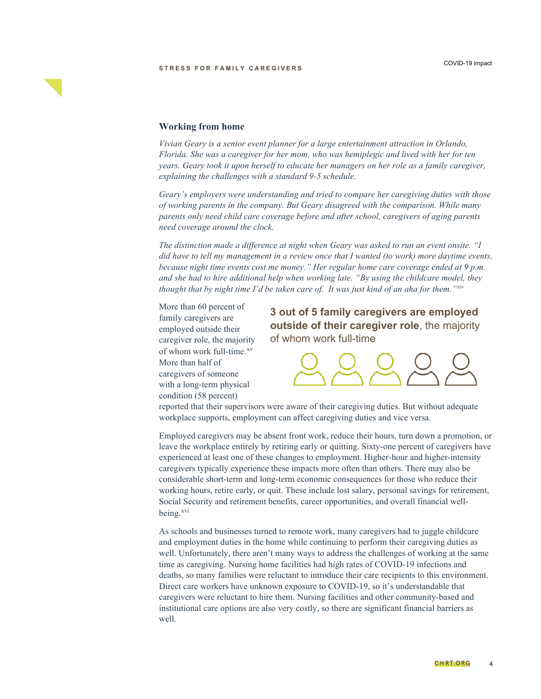

### **Working from home**

*Vivian Geary is a senior event planner for a large entertainment attraction in Orlando, Florida. She was a caregiver for her mom, who was hemiplegic and lived with her for ten years. Geary took it upon herself to educate her managers on her role as a family caregiver, explaining the challenges with a standard 9-5 schedule.* 

*Geary's employers were understanding and tried to compare her caregiving duties with those of working parents in the company. But Geary disagreed with the comparison. While many parents only need child care coverage before and after school, caregivers of aging parents need coverage around the clock.* 

*The distinction made a difference at night when Geary was asked to run an event onsite. "I did have to tell my management in a review once that I wanted (to work) more daytime events, because night time events cost me money." Her regular home care coverage ended at 9 p.m. and she had to hire additional help when working late. "By using the childcare model, they thought that by night time I'd be taken care of. It was just kind of an aha for them.["xiv](#page-5-13)*

More than 60 percent of family caregivers are employed outside their caregiver role, the majority of whom work full-time.<sup>[xv](#page-5-14)</sup> More than half of caregivers of someone with a long-term physical condition (58 percent)

**3 out of 5 family caregivers are employed outside of their caregiver role**, the majority of whom work full-time



reported that their supervisors were aware of their caregiving duties. But without adequate workplace supports, employment can affect caregiving duties and vice versa.

Employed caregivers may be absent front work, reduce their hours, turn down a promotion, or leave the workplace entirely by retiring early or quitting. Sixty-one percent of caregivers have experienced at least one of these changes to employment. Higher-hour and higher-intensity caregivers typically experience these impacts more often than others. There may also be considerable short-term and long-term economic consequences for those who reduce their working hours, retire early, or quit. These include lost salary, personal savings for retirement, Social Security and retirement benefits, career opportunities, and overall financial wellbeing.<sup>[xvi](#page-5-15)</sup>

As schools and businesses turned to remote work, many caregivers had to juggle childcare and employment duties in the home while continuing to perform their caregiving duties as well. Unfortunately, there aren't many ways to address the challenges of working at the same time as caregiving. Nursing home facilities had high rates of COVID-19 infections and deaths, so many families were reluctant to introduce their care recipients to this environment. Direct care workers have unknown exposure to COVID-19, so it's understandable that caregivers were reluctant to hire them. Nursing facilities and other community-based and institutional care options are also very costly, so there are significant financial barriers as well.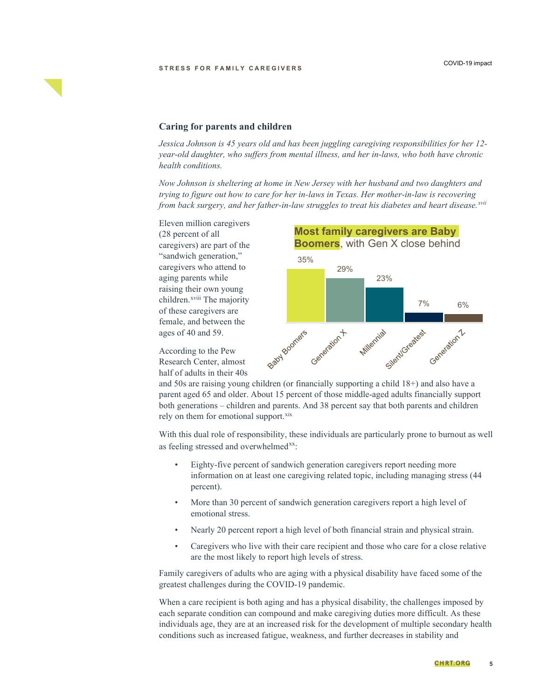## **Caring for parents and children**

*Jessica Johnson is 45 years old and has been juggling caregiving responsibilities for her 12 year-old daughter, who suffers from mental illness, and her in-laws, who both have chronic health conditions.* 

*Now Johnson is sheltering at home in New Jersey with her husband and two daughters and trying to figure out how to care for her in-laws in Texas. Her mother-in-law is recovering from back surgery, and her father-in-law struggles to treat his diabetes and heart disease.[xvii](#page-5-16)*

Eleven million caregivers (28 percent of all caregivers) are part of the "sandwich generation," caregivers who attend to aging parents while raising their own young children.<sup>xviii</sup> The majority of these caregivers are female, and between the ages of 40 and 59.

According to the Pew Research Center, almost half of adults in their 40s



and 50s are raising young children (or financially supporting a child 18+) and also have a parent aged 65 and older. About 15 percent of those middle-aged adults financially support both generations – children and parents. And 38 percent say that both parents and children rely on them for emotional support.<sup>[xix](#page-5-17)</sup>

With this dual role of responsibility, these individuals are particularly prone to burnout as well as feeling stressed and overwhelmed<sup>[xx](#page-5-18)</sup>:

- Eighty-five percent of sandwich generation caregivers report needing more information on at least one caregiving related topic, including managing stress (44 percent).
- More than 30 percent of sandwich generation caregivers report a high level of emotional stress.
- Nearly 20 percent report a high level of both financial strain and physical strain.
- Caregivers who live with their care recipient and those who care for a close relative are the most likely to report high levels of stress.

Family caregivers of adults who are aging with a physical disability have faced some of the greatest challenges during the COVID-19 pandemic.

When a care recipient is both aging and has a physical disability, the challenges imposed by each separate condition can compound and make caregiving duties more difficult. As these individuals age, they are at an increased risk for the development of multiple secondary health conditions such as increased fatigue, weakness, and further decreases in stability and